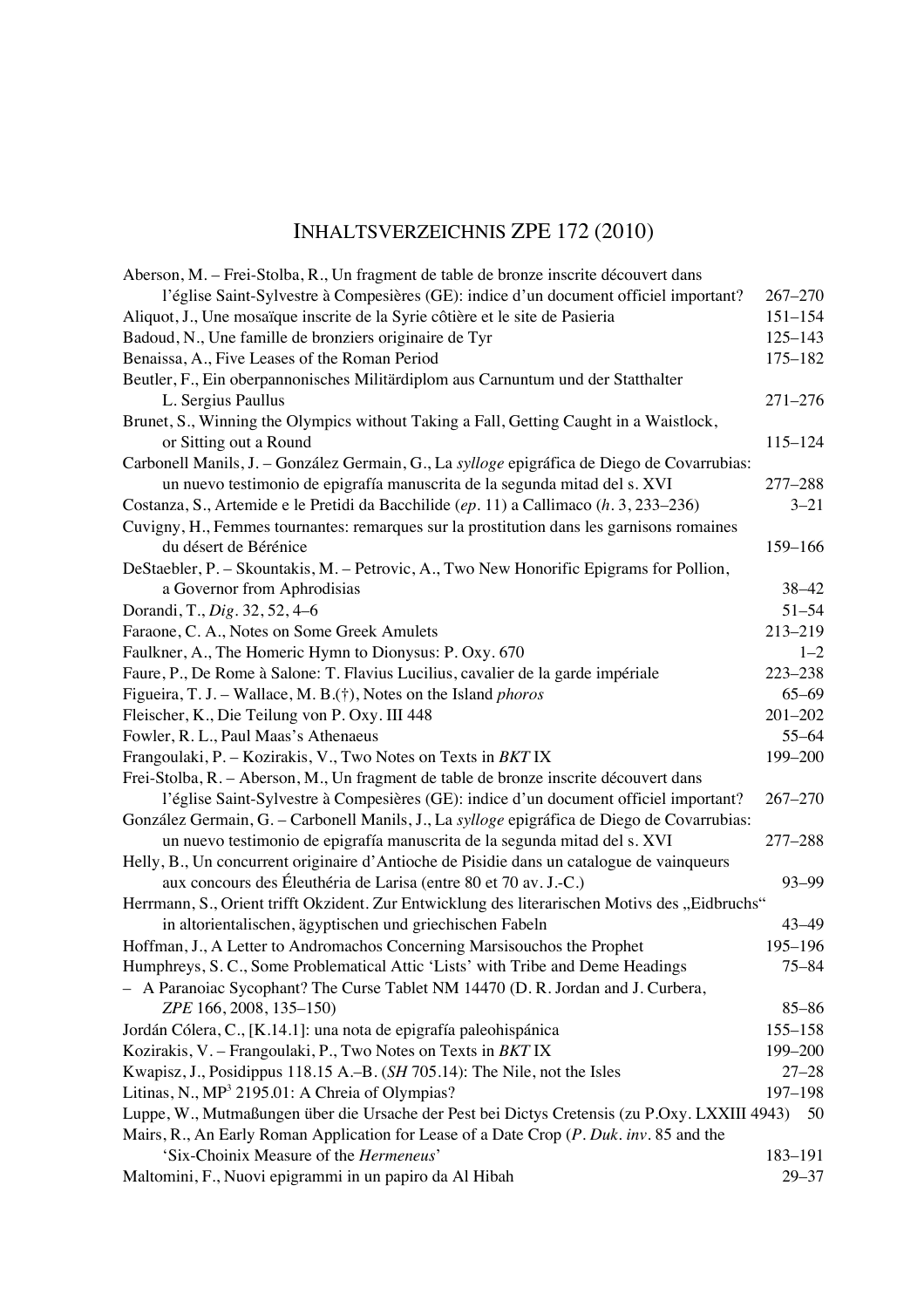## INHALTSVERZEICHNIS ZPE 172 (2010)

| Aberson, M. – Frei-Stolba, R., Un fragment de table de bronze inscrite découvert dans          |             |
|------------------------------------------------------------------------------------------------|-------------|
| l'église Saint-Sylvestre à Compesières (GE): indice d'un document officiel important?          | $267 - 270$ |
| Aliquot, J., Une mosaïque inscrite de la Syrie côtière et le site de Pasieria                  | $151 - 154$ |
| Badoud, N., Une famille de bronziers originaire de Tyr                                         | $125 - 143$ |
| Benaissa, A., Five Leases of the Roman Period                                                  | 175-182     |
| Beutler, F., Ein oberpannonisches Militärdiplom aus Carnuntum und der Statthalter              |             |
| L. Sergius Paullus                                                                             | $271 - 276$ |
| Brunet, S., Winning the Olympics without Taking a Fall, Getting Caught in a Waistlock,         |             |
| or Sitting out a Round                                                                         | $115 - 124$ |
| Carbonell Manils, J. - González Germain, G., La sylloge epigráfica de Diego de Covarrubias:    |             |
| un nuevo testimonio de epigrafía manuscrita de la segunda mitad del s. XVI                     | 277-288     |
| Costanza, S., Artemide e le Pretidi da Bacchilide (ep. 11) a Callimaco (h. 3, 233–236)         | $3 - 21$    |
| Cuvigny, H., Femmes tournantes: remarques sur la prostitution dans les garnisons romaines      |             |
| du désert de Bérénice                                                                          | 159-166     |
| DeStaebler, P. – Skountakis, M. – Petrovic, A., Two New Honorific Epigrams for Pollion,        |             |
| a Governor from Aphrodisias                                                                    | $38 - 42$   |
| Dorandi, T., Dig. 32, 52, 4-6                                                                  | $51 - 54$   |
| Faraone, C. A., Notes on Some Greek Amulets                                                    | 213-219     |
| Faulkner, A., The Homeric Hymn to Dionysus: P. Oxy. 670                                        | $1 - 2$     |
| Faure, P., De Rome à Salone: T. Flavius Lucilius, cavalier de la garde impériale               | 223-238     |
| Figueira, T. J. – Wallace, M. B.(†), Notes on the Island <i>phoros</i>                         | $65 - 69$   |
| Fleischer, K., Die Teilung von P. Oxy. III 448                                                 | $201 - 202$ |
| Fowler, R. L., Paul Maas's Athenaeus                                                           | $55 - 64$   |
| Frangoulaki, P. - Kozirakis, V., Two Notes on Texts in BKT IX                                  | 199-200     |
| Frei-Stolba, R. - Aberson, M., Un fragment de table de bronze inscrite découvert dans          |             |
| l'église Saint-Sylvestre à Compesières (GE): indice d'un document officiel important?          | $267 - 270$ |
| González Germain, G. - Carbonell Manils, J., La sylloge epigráfica de Diego de Covarrubias:    |             |
| un nuevo testimonio de epigrafía manuscrita de la segunda mitad del s. XVI                     | 277-288     |
| Helly, B., Un concurrent originaire d'Antioche de Pisidie dans un catalogue de vainqueurs      |             |
| aux concours des Éleuthéria de Larisa (entre 80 et 70 av. J.-C.)                               | 93-99       |
| Herrmann, S., Orient trifft Okzident. Zur Entwicklung des literarischen Motivs des "Eidbruchs" |             |
| in altorientalischen, ägyptischen und griechischen Fabeln                                      | $43 - 49$   |
| Hoffman, J., A Letter to Andromachos Concerning Marsisouchos the Prophet                       | $195 - 196$ |
| Humphreys, S. C., Some Problematical Attic 'Lists' with Tribe and Deme Headings                | $75 - 84$   |
| - A Paranoiac Sycophant? The Curse Tablet NM 14470 (D. R. Jordan and J. Curbera,               |             |
| ZPE 166, 2008, 135-150)                                                                        | $85 - 86$   |
| Jordán Cólera, C., [K.14.1]: una nota de epigrafía paleohispánica                              | 155-158     |
| Kozirakis, V. - Frangoulaki, P., Two Notes on Texts in BKT IX                                  | 199-200     |
| Kwapisz, J., Posidippus 118.15 A.–B. (SH 705.14): The Nile, not the Isles                      | $27 - 28$   |
| Litinas, N., MP <sup>3</sup> 2195.01: A Chreia of Olympias?                                    | 197-198     |
| Luppe, W., Mutmaßungen über die Ursache der Pest bei Dictys Cretensis (zu P.Oxy. LXXIII 4943)  | 50          |
| Mairs, R., An Early Roman Application for Lease of a Date Crop (P. Duk. inv. 85 and the        |             |
| 'Six-Choinix Measure of the <i>Hermeneus</i> '                                                 | 183-191     |
| Maltomini, F., Nuovi epigrammi in un papiro da Al Hibah                                        | $29 - 37$   |